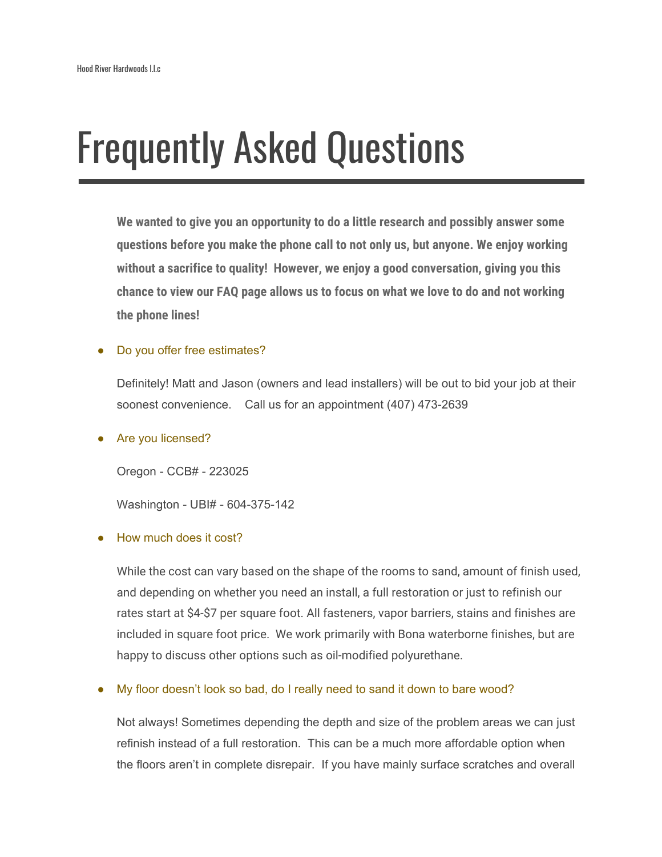# Frequently Asked Questions

**We wanted to give you an opportunity to do a little research and possibly answer some questions before you make the phone call to not only us, but anyone. We enjoy working without a sacrifice to quality! However, we enjoy a good conversation, giving you this chance to view our FAQ page allows us to focus on what we love to do and not working the phone lines!**

## • Do you offer free estimates?

Definitely! Matt and Jason (owners and lead installers) will be out to bid your job at their soonest convenience. Call us for an appointment (407) 473-2639

Are you licensed?

Oregon - CCB# - 223025

Washington - UBI# - 604-375-142

### How much does it cost?

While the cost can vary based on the shape of the rooms to sand, amount of finish used, and depending on whether you need an install, a full restoration or just to refinish our rates start at \$4-\$7 per square foot. All fasteners, vapor barriers, stains and finishes are included in square foot price. We work primarily with Bona waterborne finishes, but are happy to discuss other options such as oil-modified polyurethane.

My floor doesn't look so bad, do I really need to sand it down to bare wood?

Not always! Sometimes depending the depth and size of the problem areas we can just refinish instead of a full restoration. This can be a much more affordable option when the floors aren't in complete disrepair. If you have mainly surface scratches and overall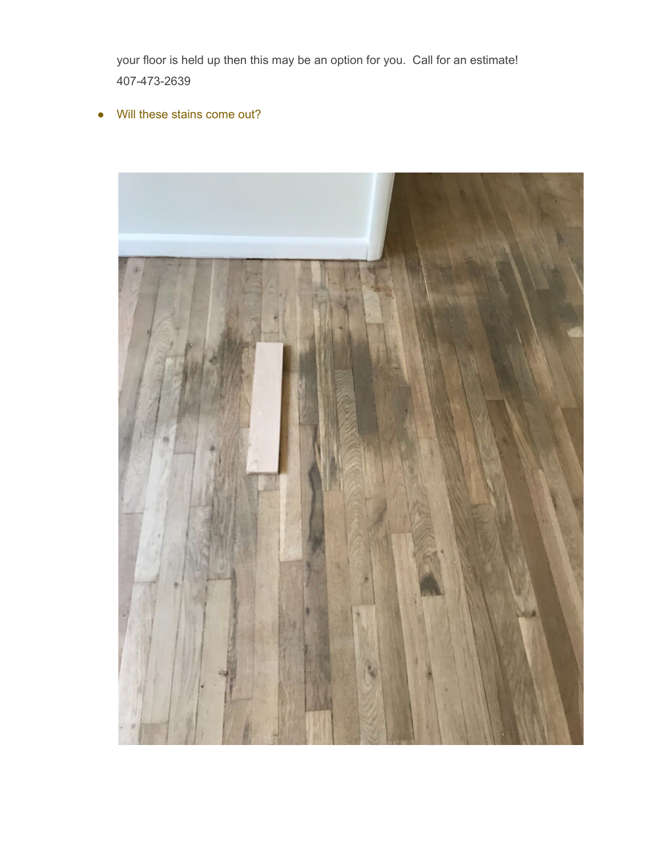your floor is held up then this may be an option for you. Call for an estimate! 407-473-2639

● Will these stains come out?

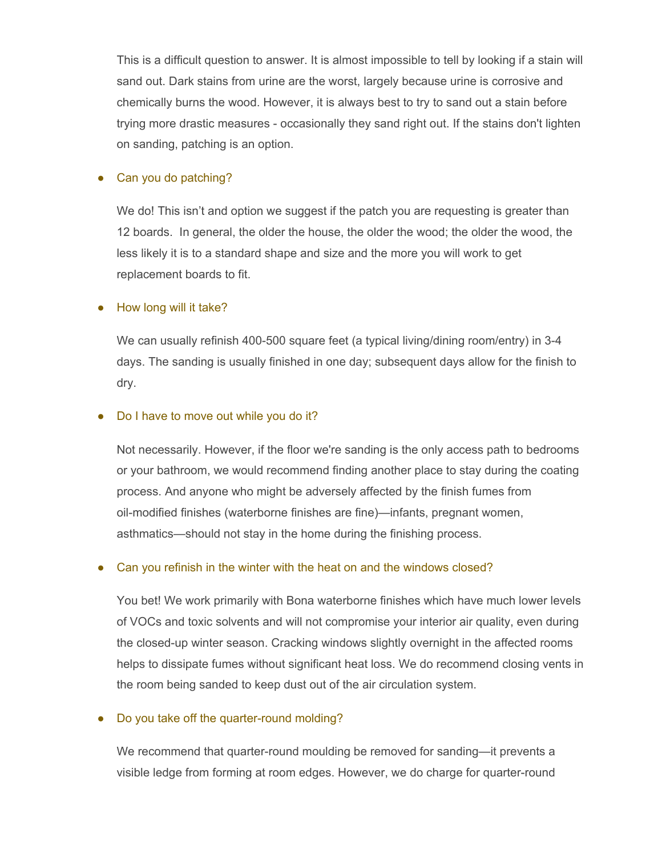This is a difficult question to answer. It is almost impossible to tell by looking if a stain will sand out. Dark stains from urine are the worst, largely because urine is corrosive and chemically burns the wood. However, it is always best to try to sand out a stain before trying more drastic measures - occasionally they sand right out. If the stains don't lighten on sanding, patching is an option.

#### • Can you do patching?

We do! This isn't and option we suggest if the patch you are requesting is greater than 12 boards. In general, the older the house, the older the wood; the older the wood, the less likely it is to a standard shape and size and the more you will work to get replacement boards to fit.

#### • How long will it take?

We can usually refinish 400-500 square feet (a typical living/dining room/entry) in 3-4 days. The sanding is usually finished in one day; subsequent days allow for the finish to dry.

#### ● Do I have to move out while you do it?

Not necessarily. However, if the floor we're sanding is the only access path to bedrooms or your bathroom, we would recommend finding another place to stay during the coating process. And anyone who might be adversely affected by the finish fumes from oil-modified finishes (waterborne finishes are fine)—infants, pregnant women, asthmatics—should not stay in the home during the finishing process.

#### • Can you refinish in the winter with the heat on and the windows closed?

You bet! We work primarily with Bona waterborne finishes which have much lower levels of VOCs and toxic solvents and will not compromise your interior air quality, even during the closed-up winter season. Cracking windows slightly overnight in the affected rooms helps to dissipate fumes without significant heat loss. We do recommend closing vents in the room being sanded to keep dust out of the air circulation system.

#### • Do you take off the quarter-round molding?

We recommend that quarter-round moulding be removed for sanding—it prevents a visible ledge from forming at room edges. However, we do charge for quarter-round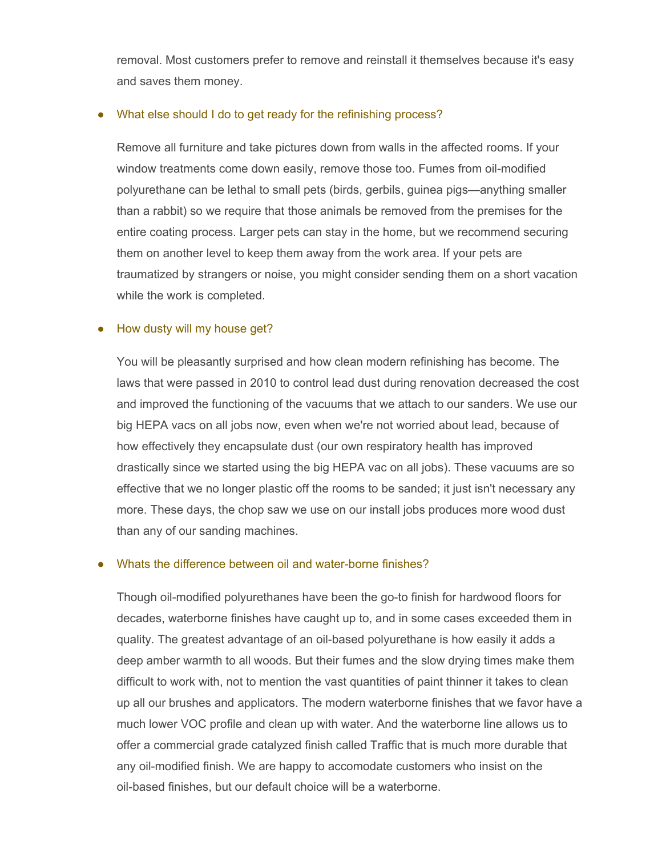removal. Most customers prefer to remove and reinstall it themselves because it's easy and saves them money.

#### ● What else should I do to get ready for the refinishing process?

Remove all furniture and take pictures down from walls in the affected rooms. If your window treatments come down easily, remove those too. Fumes from oil-modified polyurethane can be lethal to small pets (birds, gerbils, guinea pigs—anything smaller than a rabbit) so we require that those animals be removed from the premises for the entire coating process. Larger pets can stay in the home, but we recommend securing them on another level to keep them away from the work area. If your pets are traumatized by strangers or noise, you might consider sending them on a short vacation while the work is completed.

#### • How dusty will my house get?

You will be pleasantly surprised and how clean modern refinishing has become. The laws that were passed in 2010 to control lead dust during renovation decreased the cost and improved the functioning of the vacuums that we attach to our sanders. We use our big HEPA vacs on all jobs now, even when we're not worried about lead, because of how effectively they encapsulate dust (our own respiratory health has improved drastically since we started using the big HEPA vac on all jobs). These vacuums are so effective that we no longer plastic off the rooms to be sanded; it just isn't necessary any more. These days, the chop saw we use on our install jobs produces more wood dust than any of our sanding machines.

#### Whats the difference between oil and water-borne finishes?

Though oil-modified polyurethanes have been the go-to finish for hardwood floors for decades, waterborne finishes have caught up to, and in some cases exceeded them in quality. The greatest advantage of an oil-based polyurethane is how easily it adds a deep amber warmth to all woods. But their fumes and the slow drying times make them difficult to work with, not to mention the vast quantities of paint thinner it takes to clean up all our brushes and applicators. The modern waterborne finishes that we favor have a much lower VOC profile and clean up with water. And the waterborne line allows us to offer a commercial grade catalyzed finish called Traffic that is much more durable that any oil-modified finish. We are happy to accomodate customers who insist on the oil-based finishes, but our default choice will be a waterborne.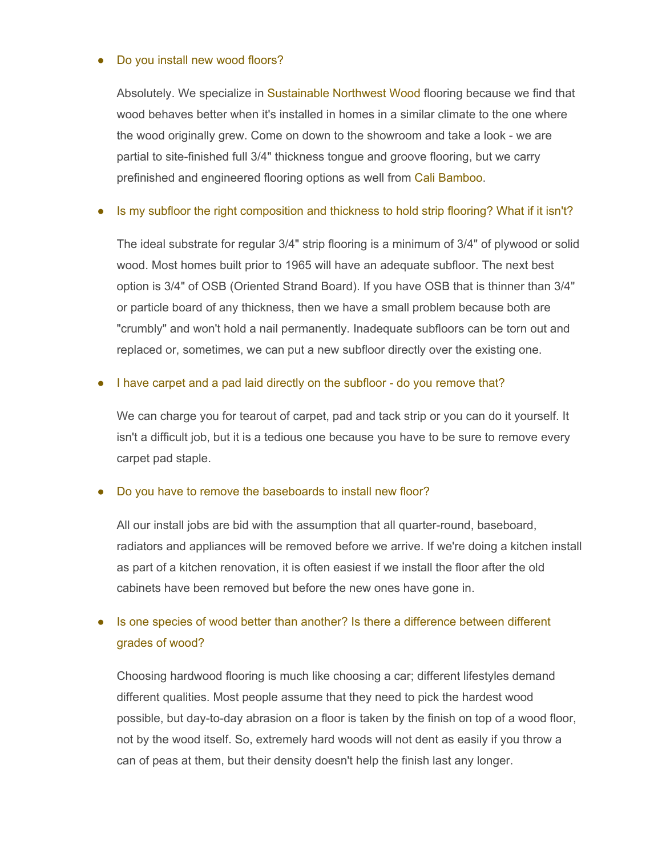#### • Do you install new wood floors?

Absolutely. We specialize in [Sustainable](http://www.snwwood.com/) Northwest Wood flooring because we find that wood behaves better when it's installed in homes in a similar climate to the one where the wood originally grew. Come on down to the showroom and take a look - we are partial to site-finished full 3/4" thickness tongue and groove flooring, but we carry prefinished and engineered flooring options as well from Cali [Bamboo](https://www.calibamboo.com/).

#### Is my subfloor the right composition and thickness to hold strip flooring? What if it isn't?

The ideal substrate for regular 3/4" strip flooring is a minimum of 3/4" of plywood or solid wood. Most homes built prior to 1965 will have an adequate subfloor. The next best option is 3/4" of OSB (Oriented Strand Board). If you have OSB that is thinner than 3/4" or particle board of any thickness, then we have a small problem because both are "crumbly" and won't hold a nail permanently. Inadequate subfloors can be torn out and replaced or, sometimes, we can put a new subfloor directly over the existing one.

#### • I have carpet and a pad laid directly on the subfloor - do you remove that?

We can charge you for tearout of carpet, pad and tack strip or you can do it yourself. It isn't a difficult job, but it is a tedious one because you have to be sure to remove every carpet pad staple.

#### • Do you have to remove the baseboards to install new floor?

All our install jobs are bid with the assumption that all quarter-round, baseboard, radiators and appliances will be removed before we arrive. If we're doing a kitchen install as part of a kitchen renovation, it is often easiest if we install the floor after the old cabinets have been removed but before the new ones have gone in.

# ● Is one species of wood better than another? Is there a difference between different grades of wood?

Choosing hardwood flooring is much like choosing a car; different lifestyles demand different qualities. Most people assume that they need to pick the hardest wood possible, but day-to-day abrasion on a floor is taken by the finish on top of a wood floor, not by the wood itself. So, extremely hard woods will not dent as easily if you throw a can of peas at them, but their density doesn't help the finish last any longer.